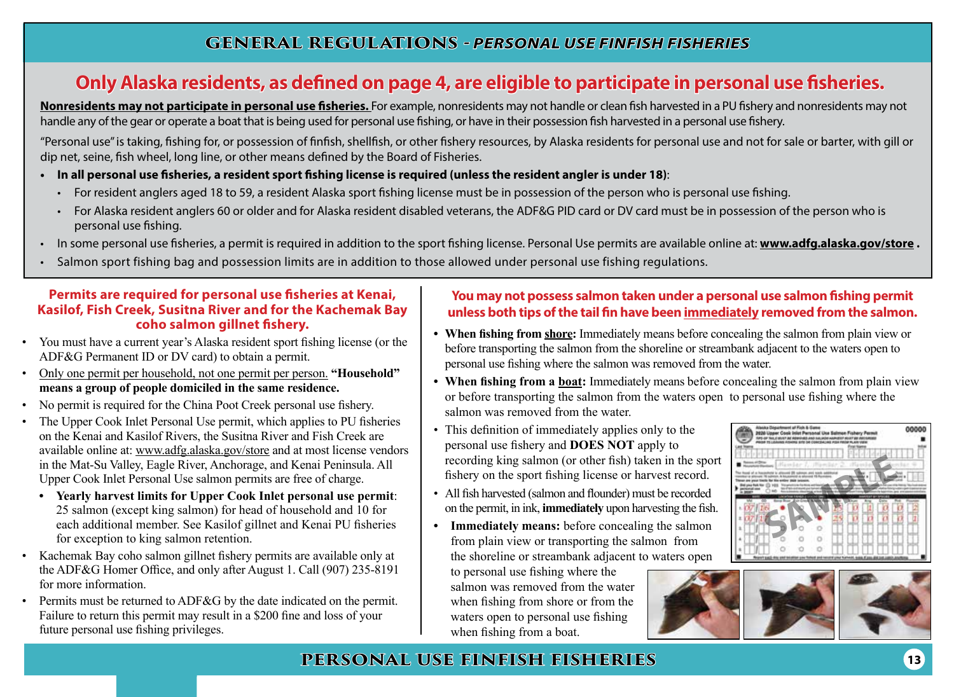## **Only Alaska residents, as defined on page 4, are eligible to participate in personal use fisheries.**

**Nonresidents may not participate in personal use fisheries.** For example, nonresidents may not handle or clean fish harvested in a PU fishery and nonresidents may not handle any of the gear or operate a boat that is being used for personal use fishing, or have in their possession fish harvested in a personal use fishery.

"Personal use" is taking, fishing for, or possession of finfish, shellfish, or other fishery resources, by Alaska residents for personal use and not for sale or barter, with gill or dip net, seine, fish wheel, long line, or other means defined by the Board of Fisheries.

- **• In all personal use fisheries, a resident sport fishing license is required (unless the resident angler is under 18)**:
	- For resident anglers aged 18 to 59, a resident Alaska sport fishing license must be in possession of the person who is personal use fishing.
	- For Alaska resident anglers 60 or older and for Alaska resident disabled veterans, the ADF&G PID card or DV card must be in possession of the person who is personal use fishing.
- In some personal use fisheries, a permit is required in addition to the sport fishing license. Personal Use permits are available online at: **www.adfg.alaska.gov/store .**
- Salmon sport fishing bag and possession limits are in addition to those allowed under personal use fishing regulations.

#### **Permits are required for personal use fisheries at Kenai, Kasilof, Fish Creek, Susitna River and for the Kachemak Bay coho salmon gillnet fishery.**

- You must have a current year's Alaska resident sport fishing license (or the ADF&G Permanent ID or DV card) to obtain a permit.
- Only one permit per household, not one permit per person. **"Household" means a group of people domiciled in the same residence.**
- No permit is required for the China Poot Creek personal use fishery.
- The Upper Cook Inlet Personal Use permit, which applies to PU fisheries on the Kenai and Kasilof Rivers, the Susitna River and Fish Creek are available online at: www.adfg.alaska.gov/store and at most license vendors in the Mat-Su Valley, Eagle River, Anchorage, and Kenai Peninsula. All Upper Cook Inlet Personal Use salmon permits are free of charge.
	- **• Yearly harvest limits for Upper Cook Inlet personal use permit**: 25 salmon (except king salmon) for head of household and 10 for each additional member. See Kasilof gillnet and Kenai PU fisheries for exception to king salmon retention.
- Kachemak Bay coho salmon gillnet fishery permits are available only at the ADF&G Homer Office, and only after August 1. Call (907) 235-8191 for more information.
- Permits must be returned to ADF&G by the date indicated on the permit. Failure to return this permit may result in a \$200 fine and loss of your future personal use fishing privileges.

#### **You may not possess salmon taken under a personal use salmon fishing permit unless both tips of the tail fin have been immediately removed from the salmon.**

- **• When fishing from shore:** Immediately means before concealing the salmon from plain view or before transporting the salmon from the shoreline or streambank adjacent to the waters open to personal use fishing where the salmon was removed from the water.
- **• When fishing from a boat:** Immediately means before concealing the salmon from plain view or before transporting the salmon from the waters open to personal use fishing where the salmon was removed from the water.
- This definition of immediately applies only to the personal use fishery and **DOES NOT** apply to recording king salmon (or other fish) taken in the sport fishery on the sport fishing license or harvest record.
- All fish harvested (salmon and flounder) must be recorded on the permit, in ink, **immediately** upon harvesting the fish.
- **• Immediately means:** before concealing the salmon from plain view or transporting the salmon from the shoreline or streambank adjacent to waters open

to personal use fishing where the salmon was removed from the water when fishing from shore or from the waters open to personal use fishing when fishing from a boat.





## **PERSONAL USE FINFISH FISHERIES**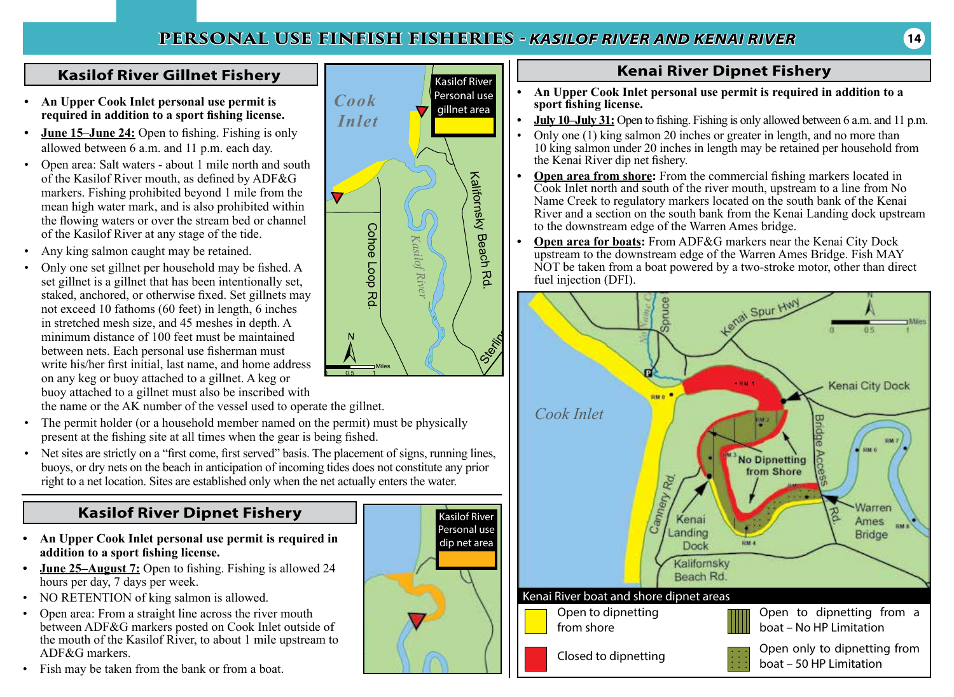## **PERSONAL USE FINFISH FISHERIES** *- KASILOF RIVER AND KENAI RIVER*

Kasilof River Personal use dip net area

### **Kasilof River Gillnet Fishery**

- **• An Upper Cook Inlet personal use permit is required in addition to a sport fishing license.**
- **• June 15–June 24:** Open to fishing. Fishing is only allowed between 6 a.m. and 11 p.m. each day.
- Open area: Salt waters about 1 mile north and south of the Kasilof River mouth, as defined by ADF&G markers. Fishing prohibited beyond 1 mile from the mean high water mark, and is also prohibited within the flowing waters or over the stream bed or channel of the Kasilof River at any stage of the tide.
- Any king salmon caught may be retained.
- Only one set gillnet per household may be fished. A set gillnet is a gillnet that has been intentionally set, staked, anchored, or otherwise fixed. Set gillnets may not exceed 10 fathoms (60 feet) in length, 6 inches in stretched mesh size, and 45 meshes in depth. A minimum distance of 100 feet must be maintained between nets. Each personal use fisherman must write his/her first initial, last name, and home address on any keg or buoy attached to a gillnet. A keg or buoy attached to a gillnet must also be inscribed with the name or the AK number of the vessel used to operate the gillnet.
- The permit holder (or a household member named on the permit) must be physically present at the fishing site at all times when the gear is being fished.
- Net sites are strictly on a "first come, first served" basis. The placement of signs, running lines, buoys, or dry nets on the beach in anticipation of incoming tides does not constitute any prior right to a net location. Sites are established only when the net actually enters the water.

## **Kasilof River Dipnet Fishery**

- **• An Upper Cook Inlet personal use permit is required in addition to a sport fishing license.**
- **June 25–August 7:** Open to fishing. Fishing is allowed 24 hours per day, 7 days per week.
- NO RETENTION of king salmon is allowed.
- Open area: From a straight line across the river mouth between ADF&G markers posted on Cook Inlet outside of the mouth of the Kasilof River, to about 1 mile upstream to ADF&G markers.
- Fish may be taken from the bank or from a boat.



## **Kenai River Dipnet Fishery**

- **• An Upper Cook Inlet personal use permit is required in addition to a sport fishing license.**
- **July 10–July 31:** Open to fishing. Fishing is only allowed between 6 a.m. and 11 p.m.<br>• Only one (1) king salmon 20 inches or greater in length, and no more than
- Only one (1) king salmon 20 inches or greater in length, and no more than 10 king salmon under 20 inches in length may be retained per household from the Kenai River dip net fishery.
- **• Open area from shore:** From the commercial fishing markers located in Cook Inlet north and south of the river mouth, upstream to a line from No Name Creek to regulatory markers located on the south bank of the Kenai River and a section on the south bank from the Kenai Landing dock upstream to the downstream edge of the Warren Ames bridge.
- **• Open area for boats:** From ADF&G markers near the Kenai City Dock upstream to the downstream edge of the Warren Ames Bridge. Fish MAY NOT be taken from a boat powered by a two-stroke motor, other than direct fuel injection (DFI).

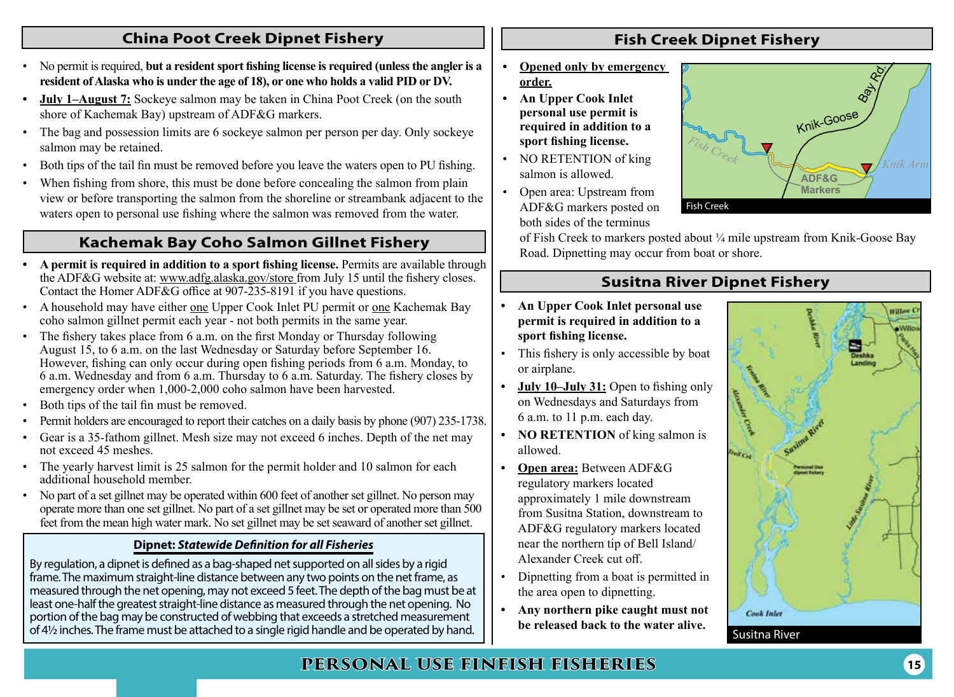### **China Poot Creek Dipnet Fishery**

- No permit is required, **but a resident sport fishing license is required (unless the angler is a resident of Alaska who is under the age of 18), or one who holds a valid PID or DV.**
- **• July 1–August 7:** Sockeye salmon may be taken in China Poot Creek (on the south shore of Kachemak Bay) upstream of ADF&G markers.
- The bag and possession limits are 6 sockeye salmon per person per day. Only sockeye salmon may be retained.
- Both tips of the tail fin must be removed before you leave the waters open to PU fishing.
- When fishing from shore, this must be done before concealing the salmon from plain view or before transporting the salmon from the shoreline or streambank adjacent to the waters open to personal use fishing where the salmon was removed from the water.

## **Kachemak Bay Coho Salmon Gillnet Fishery**

- **• A permit is required in addition to a sport fishing license.** Permits are available through the ADF&G website at: www.adfg.alaska.gov/store from July 15 until the fishery closes. Contact the Homer ADF $\&$ G office at 907-235-8191 if you have questions.
- A household may have either one Upper Cook Inlet PU permit or one Kachemak Bay coho salmon gillnet permit each year - not both permits in the same year.
- The fishery takes place from 6 a.m. on the first Monday or Thursday following August 15, to 6 a.m. on the last Wednesday or Saturday before September 16. However, fishing can only occur during open fishing periods from 6 a.m. Monday, to 6 a.m. Wednesday and from 6 a.m. Thursday to 6 a.m. Saturday. The fishery closes by emergency order when 1,000-2,000 coho salmon have been harvested.
- Both tips of the tail fin must be removed.
- Permit holders are encouraged to report their catches on a daily basis by phone (907) 235-1738.
- Gear is a 35-fathom gillnet. Mesh size may not exceed 6 inches. Depth of the net may not exceed 45 meshes.
- The yearly harvest limit is 25 salmon for the permit holder and 10 salmon for each additional household member.
- No part of a set gillnet may be operated within 600 feet of another set gillnet. No person may operate more than one set gillnet. No part of a set gillnet may be set or operated more than 500 feet from the mean high water mark. No set gillnet may be set seaward of another set gillnet.

#### **Dipnet:** *Statewide Definition for all Fisheries*

By regulation, a dipnet is defined as a bag-shaped net supported on all sides by a rigid frame. The maximum straight-line distance between any two points on the net frame, as measured through the net opening, may not exceed 5 feet. The depth of the bag must be at least one-half the greatest straight-line distance as measured through the net opening. No portion of the bag may be constructed of webbing that exceeds a stretched measurement of 4½ inches. The frame must be attached to a single rigid handle and be operated by hand.

## **Fish Creek Dipnet Fishery**

- **• Opened only by emergency order.**
- **• An Upper Cook Inlet personal use permit is required in addition to a sport fishing license.**
- NO RETENTION of king salmon is allowed.
- Open area: Upstream from ADF&G markers posted on both sides of the terminus



of Fish Creek to markers posted about ¼ mile upstream from Knik-Goose Bay Road. Dipnetting may occur from boat or shore.

### **Susitna River Dipnet Fishery**

- **• An Upper Cook Inlet personal use permit is required in addition to a sport fishing license.**
- This fishery is only accessible by boat or airplane.
- **• July 10–July 31:** Open to fishing only on Wednesdays and Saturdays from 6 a.m. to 11 p.m. each day.
- **• NO RETENTION** of king salmon is allowed.
- **• Open area:** Between ADF&G regulatory markers located approximately 1 mile downstream from Susitna Station, downstream to ADF&G regulatory markers located near the northern tip of Bell Island/ Alexander Creek cut off.
- Dipnetting from a boat is permitted in the area open to dipnetting.
- **• Any northern pike caught must not be released back to the water alive.** Susitna River



## **PERSONAL USE FINFISH FISHERIES**